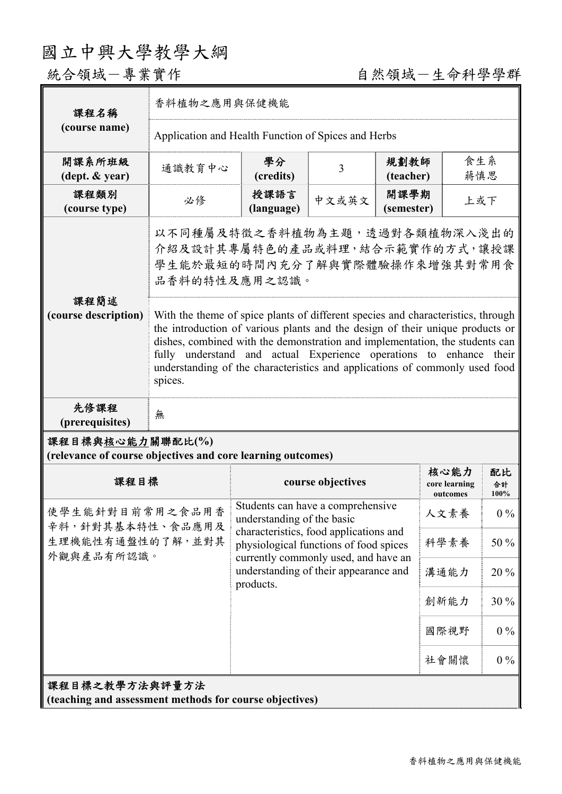## 國立中興大學教學大綱

## 統合領域一專業實作 有一个人的 自然領域一生命科學學群

| 課程名稱                                                                            | 香料植物之應用與保健機能                                                                                                                                                                                                                                                                                                                                                                                                                                                                                                                |                                                                                                                                                                                |       |                    |                                   |                  |  |
|---------------------------------------------------------------------------------|-----------------------------------------------------------------------------------------------------------------------------------------------------------------------------------------------------------------------------------------------------------------------------------------------------------------------------------------------------------------------------------------------------------------------------------------------------------------------------------------------------------------------------|--------------------------------------------------------------------------------------------------------------------------------------------------------------------------------|-------|--------------------|-----------------------------------|------------------|--|
| (course name)                                                                   | Application and Health Function of Spices and Herbs                                                                                                                                                                                                                                                                                                                                                                                                                                                                         |                                                                                                                                                                                |       |                    |                                   |                  |  |
| 開課系所班級<br>$(\text{dept.} \& \text{ year})$                                      | 通識教育中心                                                                                                                                                                                                                                                                                                                                                                                                                                                                                                                      | 學分<br>(credits)                                                                                                                                                                | 3     | 規劃教師<br>(teacher)  | 食生系<br>蔣慎思                        |                  |  |
| 課程類別<br>(course type)                                                           | 必修                                                                                                                                                                                                                                                                                                                                                                                                                                                                                                                          | 授課語言<br>(language)                                                                                                                                                             | 中文或英文 | 開課學期<br>(semester) | 上或下                               |                  |  |
| 課程簡述<br>(course description)                                                    | 以不同種屬及特徵之香料植物為主題,透過對各類植物深入淺出的<br>介紹及設計其專屬特色的產品或料理,結合示範實作的方式,讓授課<br>學生能於最短的時間內充分了解與實際體驗操作來增強其對常用食<br>品香料的特性及應用之認識。<br>With the theme of spice plants of different species and characteristics, through<br>the introduction of various plants and the design of their unique products or<br>dishes, combined with the demonstration and implementation, the students can<br>fully understand and actual Experience operations to enhance their<br>understanding of the characteristics and applications of commonly used food |                                                                                                                                                                                |       |                    |                                   |                  |  |
| 先修課程<br>(prerequisites)                                                         | spices.<br>無                                                                                                                                                                                                                                                                                                                                                                                                                                                                                                                |                                                                                                                                                                                |       |                    |                                   |                  |  |
| 課程目標與核心能力關聯配比(%)<br>(relevance of course objectives and core learning outcomes) |                                                                                                                                                                                                                                                                                                                                                                                                                                                                                                                             |                                                                                                                                                                                |       |                    |                                   |                  |  |
| 課程目標                                                                            |                                                                                                                                                                                                                                                                                                                                                                                                                                                                                                                             | course objectives                                                                                                                                                              |       |                    | 核心能力<br>core learning<br>outcomes | 配比<br>合計<br>100% |  |
| 使學生能針對目前常用之食品用香<br>辛料,針對其基本特性、食品應用及<br>生理機能性有通盤性的了解,並對其<br>外觀與產品有所認識。           |                                                                                                                                                                                                                                                                                                                                                                                                                                                                                                                             | Students can have a comprehensive<br>understanding of the basic                                                                                                                |       |                    | 人文素養                              | $0\%$            |  |
|                                                                                 |                                                                                                                                                                                                                                                                                                                                                                                                                                                                                                                             | characteristics, food applications and<br>physiological functions of food spices<br>currently commonly used, and have an<br>understanding of their appearance and<br>products. |       |                    | 科學素養                              | 50 %             |  |
|                                                                                 |                                                                                                                                                                                                                                                                                                                                                                                                                                                                                                                             |                                                                                                                                                                                |       |                    | 溝通能力                              | 20 %             |  |
|                                                                                 |                                                                                                                                                                                                                                                                                                                                                                                                                                                                                                                             |                                                                                                                                                                                |       |                    | 創新能力                              | 30 %             |  |
|                                                                                 |                                                                                                                                                                                                                                                                                                                                                                                                                                                                                                                             |                                                                                                                                                                                |       |                    | 國際視野                              | $0\%$            |  |
|                                                                                 |                                                                                                                                                                                                                                                                                                                                                                                                                                                                                                                             |                                                                                                                                                                                |       |                    | 社會關懷                              | $0\%$            |  |
| 課程目標之教學方法與評量方法<br>(teaching and assessment methods for course objectives)       |                                                                                                                                                                                                                                                                                                                                                                                                                                                                                                                             |                                                                                                                                                                                |       |                    |                                   |                  |  |